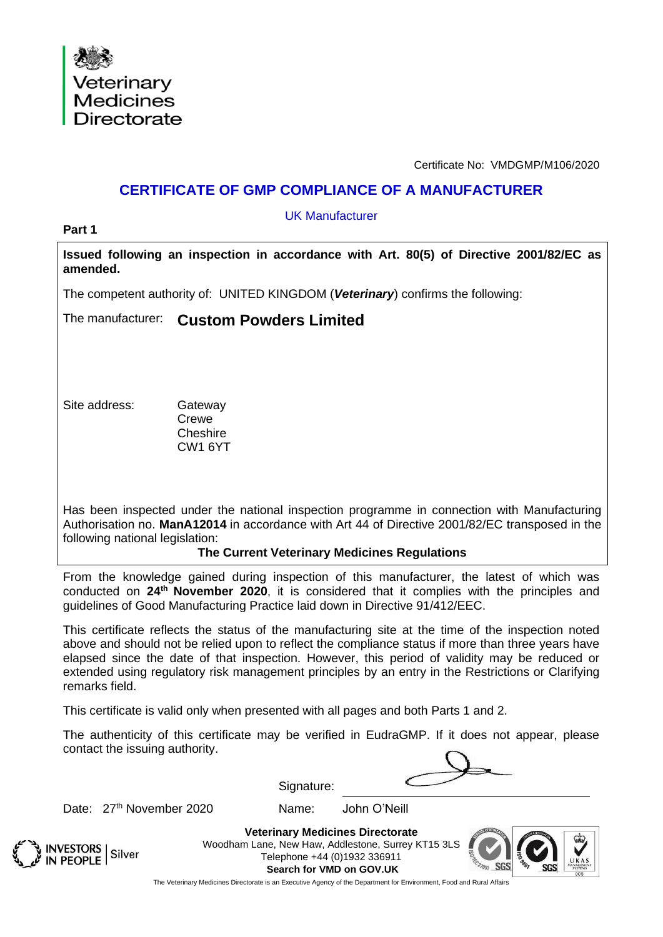

Certificate No: VMDGMP/M106/2020

## **CERTIFICATE OF GMP COMPLIANCE OF A MANUFACTURER**

UK Manufacturer

**Part 1**

**Issued following an inspection in accordance with Art. 80(5) of Directive 2001/82/EC as amended.**

The competent authority of: UNITED KINGDOM (*Veterinary*) confirms the following:

The manufacturer: **Custom Powders Limited**

Site address: Gateway

**Crewe Cheshire** CW1 6YT

Has been inspected under the national inspection programme in connection with Manufacturing Authorisation no. **ManA12014** in accordance with Art 44 of Directive 2001/82/EC transposed in the following national legislation:

**The Current Veterinary Medicines Regulations** 

From the knowledge gained during inspection of this manufacturer, the latest of which was conducted on **24 th November 2020**, it is considered that it complies with the principles and guidelines of Good Manufacturing Practice laid down in Directive 91/412/EEC.

This certificate reflects the status of the manufacturing site at the time of the inspection noted above and should not be relied upon to reflect the compliance status if more than three years have elapsed since the date of that inspection. However, this period of validity may be reduced or extended using regulatory risk management principles by an entry in the Restrictions or Clarifying remarks field.

This certificate is valid only when presented with all pages and both Parts 1 and 2.

The authenticity of this certificate may be verified in EudraGMP. If it does not appear, please contact the issuing authority.

Date: 27<sup>th</sup> November 2020 Mame: John O'Neill

Signature:





**Veterinary Medicines Directorate** Woodham Lane, New Haw, Addlestone, Surrey KT15 3LS Telephone +44 (0)1932 336911 **Search for VMD on GOV.UK**



The Veterinary Medicines Directorate is an Executive Agency of the Department for Environment, Food and Rural Affairs